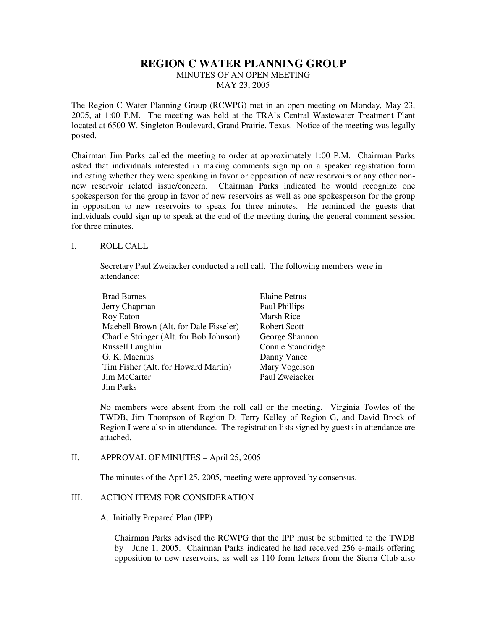# **REGION C WATER PLANNING GROUP**

MINUTES OF AN OPEN MEETING MAY 23, 2005

The Region C Water Planning Group (RCWPG) met in an open meeting on Monday, May 23, 2005, at 1:00 P.M. The meeting was held at the TRA's Central Wastewater Treatment Plant located at 6500 W. Singleton Boulevard, Grand Prairie, Texas. Notice of the meeting was legally posted.

Chairman Jim Parks called the meeting to order at approximately 1:00 P.M. Chairman Parks asked that individuals interested in making comments sign up on a speaker registration form indicating whether they were speaking in favor or opposition of new reservoirs or any other nonnew reservoir related issue/concern. Chairman Parks indicated he would recognize one spokesperson for the group in favor of new reservoirs as well as one spokesperson for the group in opposition to new reservoirs to speak for three minutes. He reminded the guests that individuals could sign up to speak at the end of the meeting during the general comment session for three minutes.

#### I. ROLL CALL

Secretary Paul Zweiacker conducted a roll call. The following members were in attendance:

| <b>Brad Barnes</b>                      | <b>Elaine Petrus</b> |
|-----------------------------------------|----------------------|
| Jerry Chapman                           | Paul Phillips        |
| Roy Eaton                               | Marsh Rice           |
| Maebell Brown (Alt. for Dale Fisseler)  | Robert Scott         |
| Charlie Stringer (Alt. for Bob Johnson) | George Shannon       |
| Russell Laughlin                        | Connie Standridge    |
| G. K. Maenius                           | Danny Vance          |
| Tim Fisher (Alt. for Howard Martin)     | Mary Vogelson        |
| Jim McCarter                            | Paul Zweiacker       |
| <b>Jim Parks</b>                        |                      |

No members were absent from the roll call or the meeting. Virginia Towles of the TWDB, Jim Thompson of Region D, Terry Kelley of Region G, and David Brock of Region I were also in attendance. The registration lists signed by guests in attendance are attached.

#### II. APPROVAL OF MINUTES – April 25, 2005

The minutes of the April 25, 2005, meeting were approved by consensus.

#### III. ACTION ITEMS FOR CONSIDERATION

#### A. Initially Prepared Plan (IPP)

Chairman Parks advised the RCWPG that the IPP must be submitted to the TWDB by June 1, 2005. Chairman Parks indicated he had received 256 e-mails offering opposition to new reservoirs, as well as 110 form letters from the Sierra Club also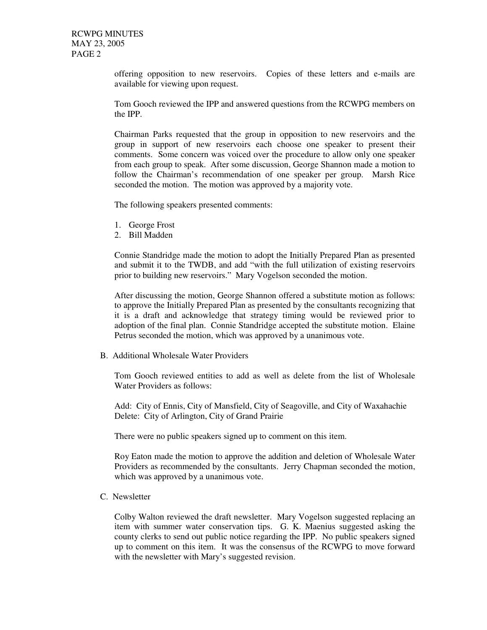offering opposition to new reservoirs. Copies of these letters and e-mails are available for viewing upon request.

Tom Gooch reviewed the IPP and answered questions from the RCWPG members on the IPP.

Chairman Parks requested that the group in opposition to new reservoirs and the group in support of new reservoirs each choose one speaker to present their comments. Some concern was voiced over the procedure to allow only one speaker from each group to speak. After some discussion, George Shannon made a motion to follow the Chairman's recommendation of one speaker per group. Marsh Rice seconded the motion. The motion was approved by a majority vote.

The following speakers presented comments:

- 1. George Frost
- 2. Bill Madden

Connie Standridge made the motion to adopt the Initially Prepared Plan as presented and submit it to the TWDB, and add "with the full utilization of existing reservoirs prior to building new reservoirs." Mary Vogelson seconded the motion.

After discussing the motion, George Shannon offered a substitute motion as follows: to approve the Initially Prepared Plan as presented by the consultants recognizing that it is a draft and acknowledge that strategy timing would be reviewed prior to adoption of the final plan. Connie Standridge accepted the substitute motion. Elaine Petrus seconded the motion, which was approved by a unanimous vote.

B. Additional Wholesale Water Providers

Tom Gooch reviewed entities to add as well as delete from the list of Wholesale Water Providers as follows:

Add: City of Ennis, City of Mansfield, City of Seagoville, and City of Waxahachie Delete: City of Arlington, City of Grand Prairie

There were no public speakers signed up to comment on this item.

Roy Eaton made the motion to approve the addition and deletion of Wholesale Water Providers as recommended by the consultants. Jerry Chapman seconded the motion, which was approved by a unanimous vote.

C. Newsletter

Colby Walton reviewed the draft newsletter. Mary Vogelson suggested replacing an item with summer water conservation tips. G. K. Maenius suggested asking the county clerks to send out public notice regarding the IPP. No public speakers signed up to comment on this item. It was the consensus of the RCWPG to move forward with the newsletter with Mary's suggested revision.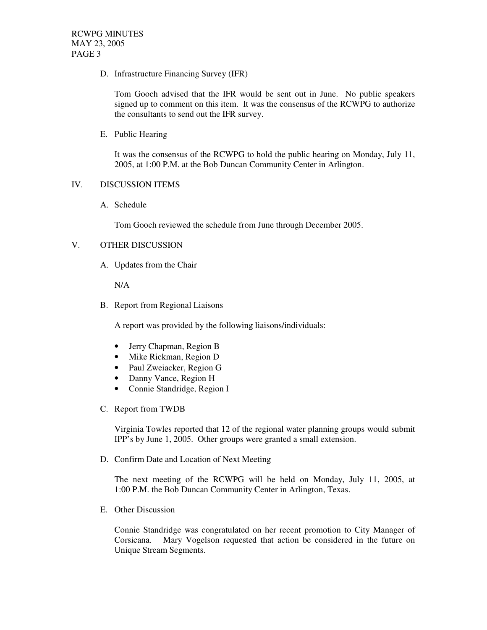D. Infrastructure Financing Survey (IFR)

Tom Gooch advised that the IFR would be sent out in June. No public speakers signed up to comment on this item. It was the consensus of the RCWPG to authorize the consultants to send out the IFR survey.

E. Public Hearing

It was the consensus of the RCWPG to hold the public hearing on Monday, July 11, 2005, at 1:00 P.M. at the Bob Duncan Community Center in Arlington.

#### IV. DISCUSSION ITEMS

A. Schedule

Tom Gooch reviewed the schedule from June through December 2005.

## V. OTHER DISCUSSION

A. Updates from the Chair

N/A

B. Report from Regional Liaisons

A report was provided by the following liaisons/individuals:

- Jerry Chapman, Region B
- Mike Rickman, Region D
- Paul Zweiacker, Region G
- Danny Vance, Region H
- Connie Standridge, Region I
- C. Report from TWDB

Virginia Towles reported that 12 of the regional water planning groups would submit IPP's by June 1, 2005. Other groups were granted a small extension.

D. Confirm Date and Location of Next Meeting

The next meeting of the RCWPG will be held on Monday, July 11, 2005, at 1:00 P.M. the Bob Duncan Community Center in Arlington, Texas.

E. Other Discussion

Connie Standridge was congratulated on her recent promotion to City Manager of Corsicana. Mary Vogelson requested that action be considered in the future on Unique Stream Segments.